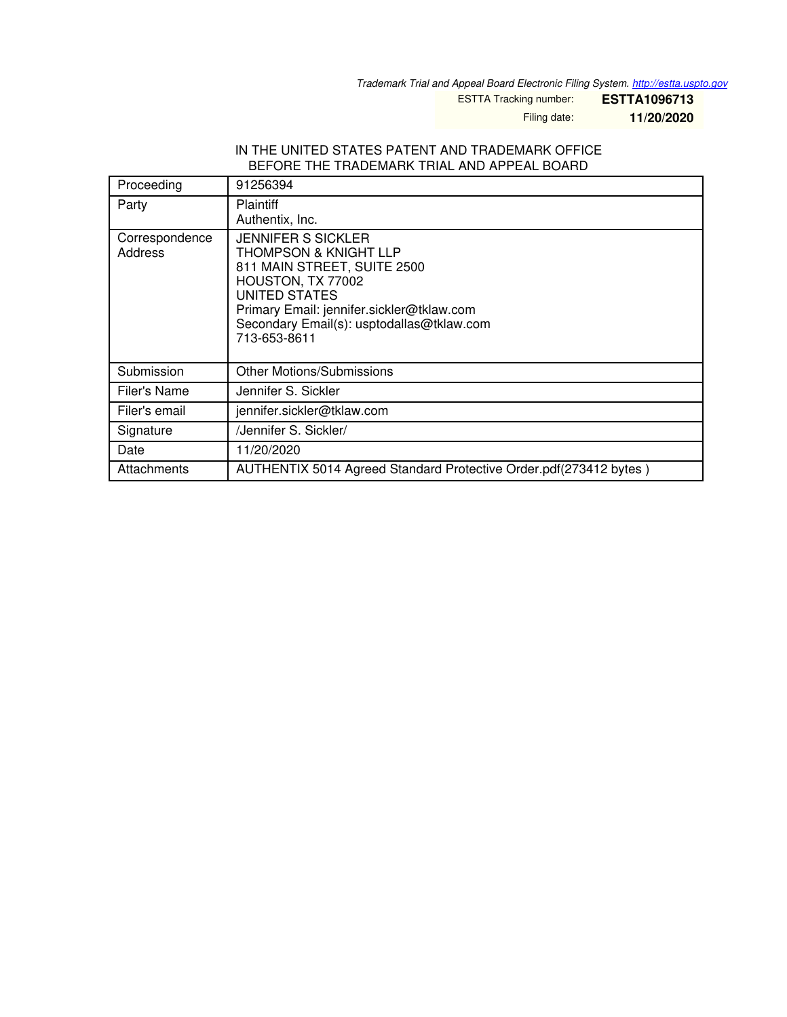*Trademark Trial and Appeal Board Electronic Filing System. <http://estta.uspto.gov>*

ESTTA Tracking number: **ESTTA1096713**

Filing date: **11/20/2020**

#### IN THE UNITED STATES PATENT AND TRADEMARK OFFICE BEFORE THE TRADEMARK TRIAL AND APPEAL BOARD

| Proceeding                | 91256394                                                                                                                                                                                                                          |
|---------------------------|-----------------------------------------------------------------------------------------------------------------------------------------------------------------------------------------------------------------------------------|
| Party                     | <b>Plaintiff</b><br>Authentix, Inc.                                                                                                                                                                                               |
| Correspondence<br>Address | <b>JENNIFER S SICKLER</b><br>THOMPSON & KNIGHT LLP<br>811 MAIN STREET, SUITE 2500<br>HOUSTON, TX 77002<br>UNITED STATES<br>Primary Email: jennifer.sickler@tklaw.com<br>Secondary Email(s): usptodallas@tklaw.com<br>713-653-8611 |
| Submission                | <b>Other Motions/Submissions</b>                                                                                                                                                                                                  |
| Filer's Name              | Jennifer S. Sickler                                                                                                                                                                                                               |
| Filer's email             | jennifer.sickler@tklaw.com                                                                                                                                                                                                        |
| Signature                 | /Jennifer S. Sickler/                                                                                                                                                                                                             |
| Date                      | 11/20/2020                                                                                                                                                                                                                        |
| Attachments               | AUTHENTIX 5014 Agreed Standard Protective Order.pdf(273412 bytes)                                                                                                                                                                 |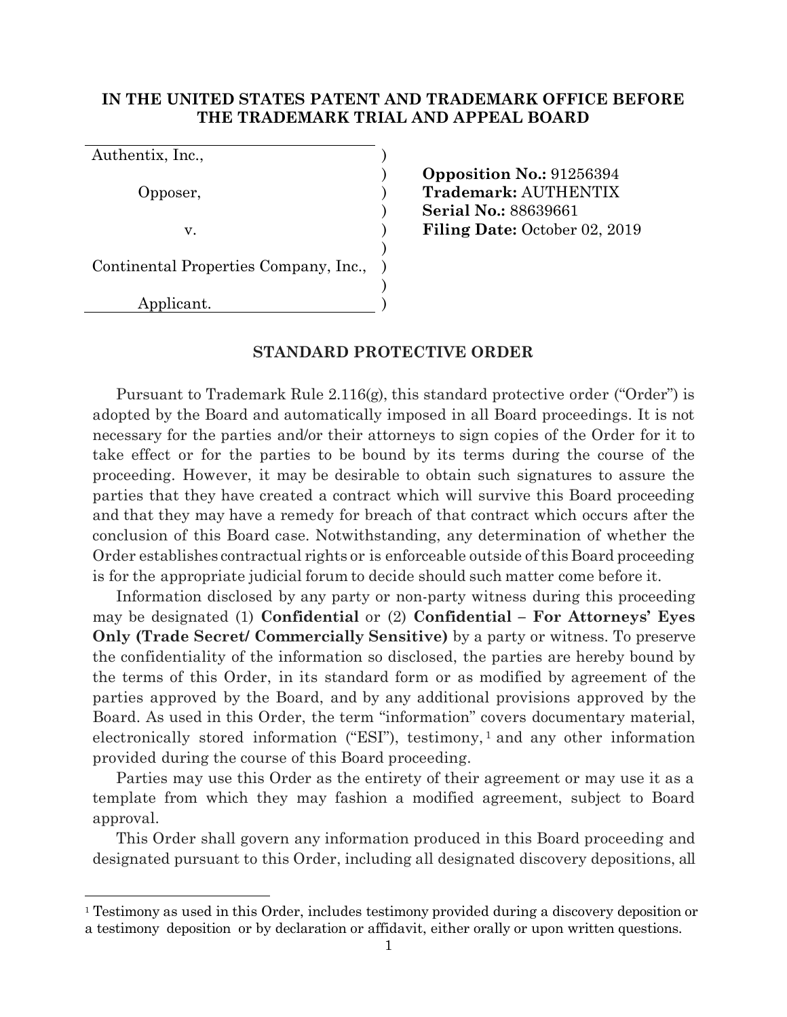## **IN THE UNITED STATES PATENT AND TRADEMARK OFFICE BEFORE THE TRADEMARK TRIAL AND APPEAL BOARD**

| Authentix, Inc.,                      |  |
|---------------------------------------|--|
|                                       |  |
| Opposer,                              |  |
|                                       |  |
| V.                                    |  |
|                                       |  |
| Continental Properties Company, Inc., |  |
|                                       |  |
| Applicant.                            |  |

) **Opposition No.:** 91256394 Opposer, ) **Trademark:** AUTHENTIX ) **Serial No.:** 88639661 **Filing Date:** October 02, 2019

#### **STANDARD PROTECTIVE ORDER**

Pursuant to Trademark Rule 2.116(g), this standard protective order ("Order") is adopted by the Board and automatically imposed in all Board proceedings. It is not necessary for the parties and/or their attorneys to sign copies of the Order for it to take effect or for the parties to be bound by its terms during the course of the proceeding. However, it may be desirable to obtain such signatures to assure the parties that they have created a contract which will survive this Board proceeding and that they may have a remedy for breach of that contract which occurs after the conclusion of this Board case. Notwithstanding, any determination of whether the Order establishes contractual rights or is enforceable outside of this Board proceeding is for the appropriate judicial forum to decide should such matter come before it.

Information disclosed by any party or non-party witness during this proceeding may be designated (1) **Confidential** or (2) **Confidential – For Attorneys' Eyes Only (Trade Secret/ Commercially Sensitive)** by a party or witness. To preserve the confidentiality of the information so disclosed, the parties are hereby bound by the terms of this Order, in its standard form or as modified by agreement of the parties approved by the Board, and by any additional provisions approved by the Board. As used in this Order, the term "information" covers documentary material, electronically stored information ("ESI"), testimony,<sup>1</sup> and any other information provided during the course of this Board proceeding.

Parties may use this Order as the entirety of their agreement or may use it as a template from which they may fashion a modified agreement, subject to Board approval.

This Order shall govern any information produced in this Board proceeding and designated pursuant to this Order, including all designated discovery depositions, all

<sup>&</sup>lt;sup>1</sup> Testimony as used in this Order, includes testimony provided during a discovery deposition or a testimony deposition or by declaration or affidavit, either orally or upon written questions.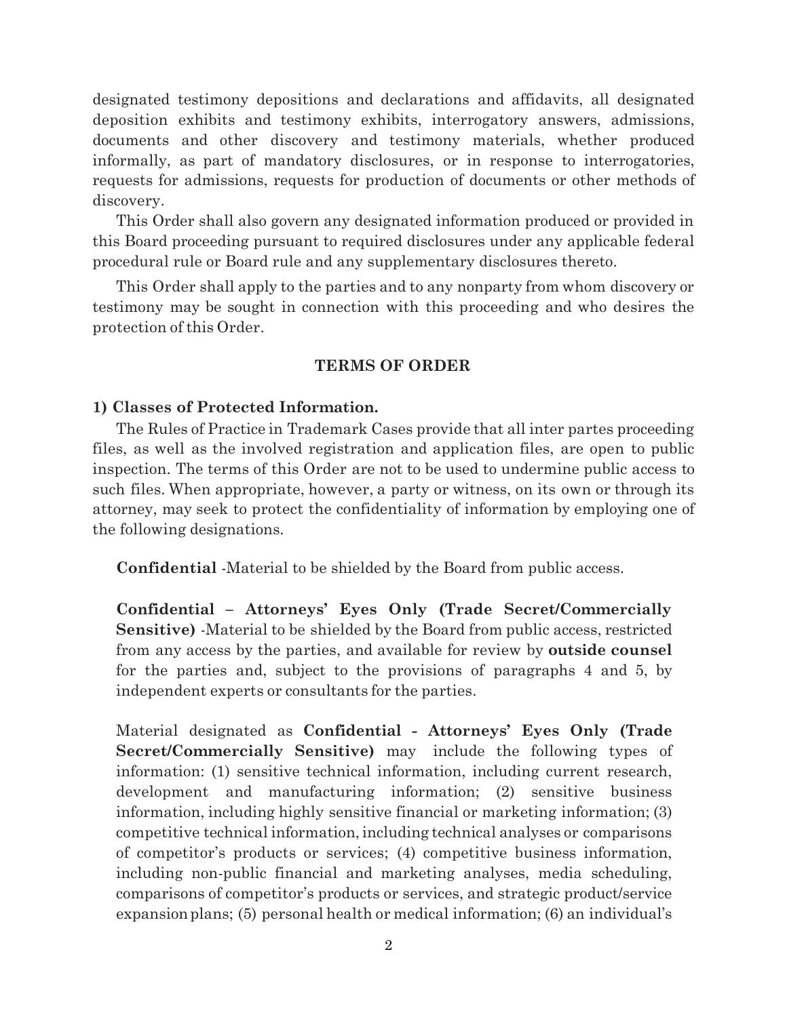designated testimony depositions and declarations and affidavits, all designated deposition exhibits and testimony exhibits, interrogatory answers, admissions, documents and other discovery and testimony materials, whether produced informally, as part of mandatory disclosures, or in response to interrogatories, requests for admissions, requests for production of documents or other methods of discovery.

This Order shall also govern any designated information produced or provided in this Board proceeding pursuant to required disclosures under any applicable federal procedural rule or Board rule and any supplementary disclosures thereto.

This Order shall apply to the parties and to any nonparty from whom discovery or testimony may be sought in connection with this proceeding and who desires the protection of this Order.

## **TERMS OF ORDER**

## **1) Classes of Protected Information.**

The Rules of Practice in Trademark Cases provide that all inter partes proceeding files, as well as the involved registration and application files, are open to public inspection. The terms of this Order are not to be used to undermine public access to such files. When appropriate, however, a party or witness, on its own or through its attorney, may seek to protect the confidentiality of information by employing one of the following designations.

**Confidential** -Material to be shielded by the Board from public access.

**Confidential – Attorneys' Eyes Only (Trade Secret/Commercially Sensitive)** -Material to be shielded by the Board from public access, restricted from any access by the parties, and available for review by **outside counsel**  for the parties and, subject to the provisions of paragraphs 4 and 5, by independent experts or consultants for the parties.

Material designated as **Confidential - Attorneys' Eyes Only (Trade Secret/Commercially Sensitive)** may include the following types of information: (1) sensitive technical information, including current research, development and manufacturing information; (2) sensitive business information, including highly sensitive financial or marketing information; (3) competitive technical information, including technical analyses or comparisons of competitor's products or services; (4) competitive business information, including non-public financial and marketing analyses, media scheduling, comparisons of competitor's products or services, and strategic product/service expansion plans; (5) personal health or medical information; (6) an individual's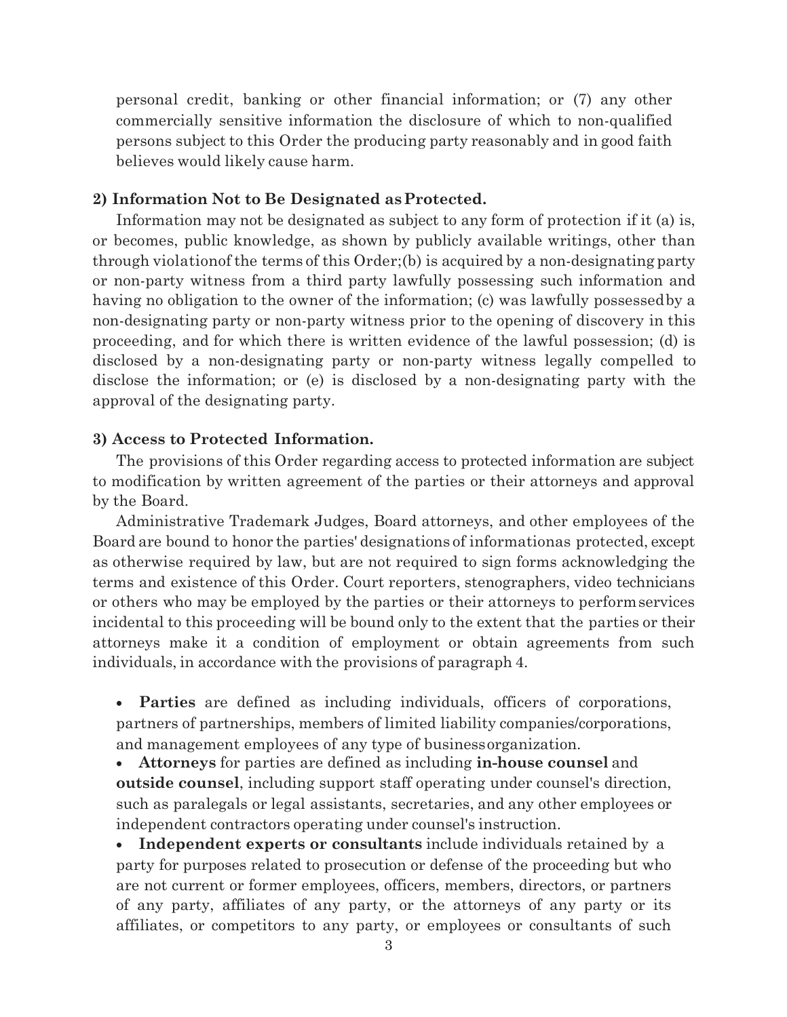personal credit, banking or other financial information; or (7) any other commercially sensitive information the disclosure of which to non-qualified persons subject to this Order the producing party reasonably and in good faith believes would likely cause harm.

## **2) Information Not to Be Designated as Protected.**

Information may not be designated as subject to any form of protection if it (a) is, or becomes, public knowledge, as shown by publicly available writings, other than through violationof the terms of this Order;(b) is acquired by a non-designating party or non-party witness from a third party lawfully possessing such information and having no obligation to the owner of the information; (c) was lawfully possessed by a non-designating party or non-party witness prior to the opening of discovery in this proceeding, and for which there is written evidence of the lawful possession; (d) is disclosed by a non-designating party or non-party witness legally compelled to disclose the information; or (e) is disclosed by a non-designating party with the approval of the designating party.

## **3) Access to Protected Information.**

The provisions of this Order regarding access to protected information are subject to modification by written agreement of the parties or their attorneys and approval by the Board.

Administrative Trademark Judges, Board attorneys, and other employees of the Board are bound to honor the parties' designations of informationas protected, except as otherwise required by law, but are not required to sign forms acknowledging the terms and existence of this Order. Court reporters, stenographers, video technicians or others who may be employed by the parties or their attorneys to perform services incidental to this proceeding will be bound only to the extent that the parties or their attorneys make it a condition of employment or obtain agreements from such individuals, in accordance with the provisions of paragraph 4.

 **Parties** are defined as including individuals, officers of corporations, partners of partnerships, members of limited liability companies/corporations, and management employees of any type of business organization.

 **Attorneys** for parties are defined as including **in-house counsel** and **outside counsel**, including support staff operating under counsel's direction, such as paralegals or legal assistants, secretaries, and any other employees or independent contractors operating under counsel's instruction.

 **Independent experts or consultants** include individuals retained by a party for purposes related to prosecution or defense of the proceeding but who are not current or former employees, officers, members, directors, or partners of any party, affiliates of any party, or the attorneys of any party or its affiliates, or competitors to any party, or employees or consultants of such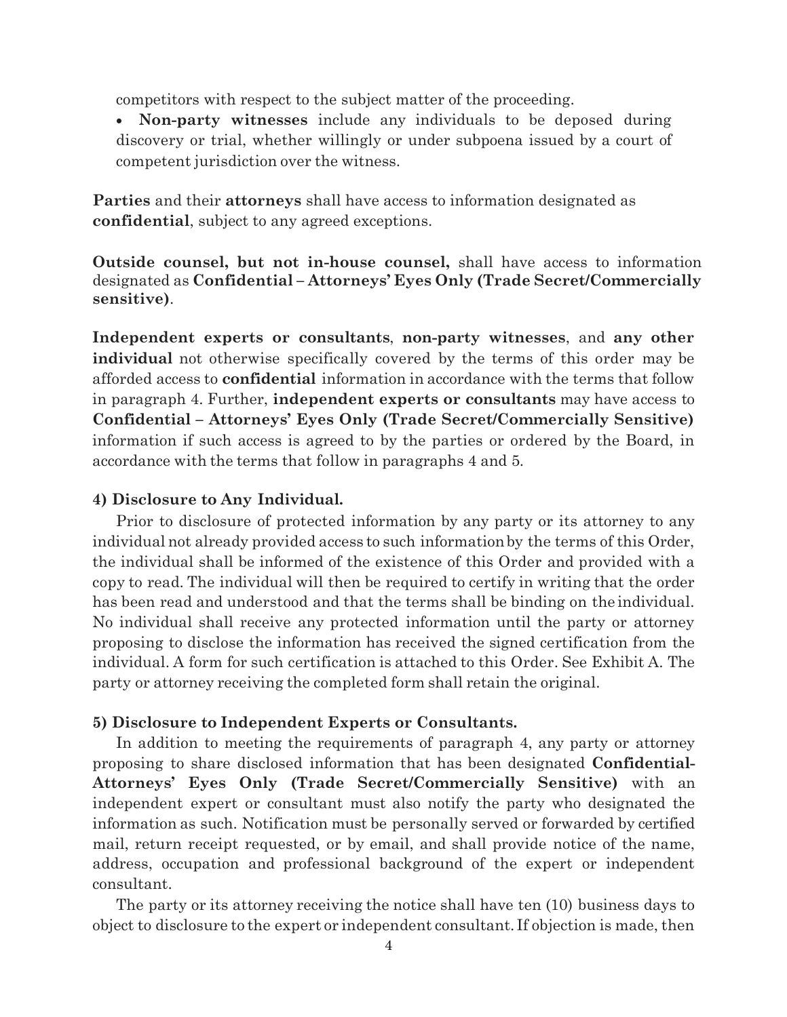competitors with respect to the subject matter of the proceeding.

 **Non-party witnesses** include any individuals to be deposed during discovery or trial, whether willingly or under subpoena issued by a court of competent jurisdiction over the witness.

**Parties** and their **attorneys** shall have access to information designated as **confidential**, subject to any agreed exceptions.

**Outside counsel, but not in-house counsel,** shall have access to information designated as **Confidential – Attorneys' Eyes Only (Trade Secret/Commercially sensitive)**.

**Independent experts or consultants**, **non-party witnesses**, and **any other individual** not otherwise specifically covered by the terms of this order may be afforded access to **confidential** information in accordance with the terms that follow in paragraph 4. Further, **independent experts or consultants** may have access to **Confidential – Attorneys' Eyes Only (Trade Secret/Commercially Sensitive)**  information if such access is agreed to by the parties or ordered by the Board, in accordance with the terms that follow in paragraphs 4 and 5.

### **4) Disclosure to Any Individual.**

Prior to disclosure of protected information by any party or its attorney to any individual not already provided access to such information by the terms of this Order, the individual shall be informed of the existence of this Order and provided with a copy to read. The individual will then be required to certify in writing that the order has been read and understood and that the terms shall be binding on the individual. No individual shall receive any protected information until the party or attorney proposing to disclose the information has received the signed certification from the individual. A form for such certification is attached to this Order. See Exhibit A. The party or attorney receiving the completed form shall retain the original.

#### **5) Disclosure to Independent Experts or Consultants.**

In addition to meeting the requirements of paragraph 4, any party or attorney proposing to share disclosed information that has been designated **Confidential-Attorneys' Eyes Only (Trade Secret/Commercially Sensitive)** with an independent expert or consultant must also notify the party who designated the information as such. Notification must be personally served or forwarded by certified mail, return receipt requested, or by email, and shall provide notice of the name, address, occupation and professional background of the expert or independent consultant.

The party or its attorney receiving the notice shall have ten (10) business days to object to disclosure to the expert or independent consultant. If objection is made, then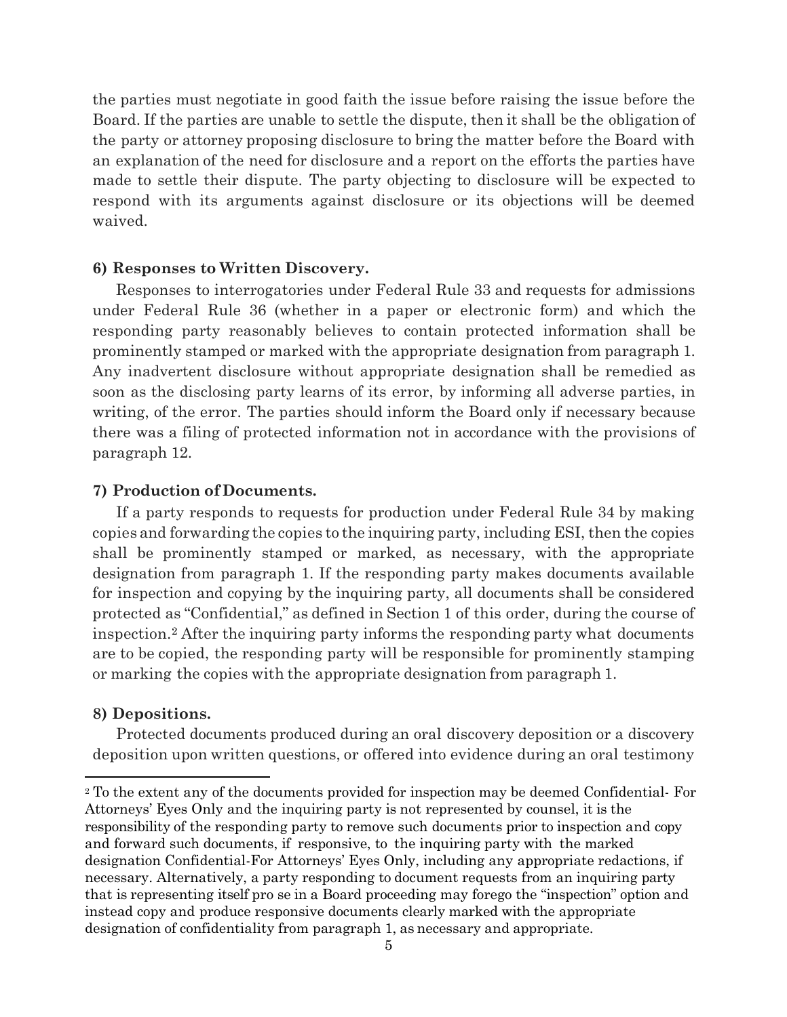the parties must negotiate in good faith the issue before raising the issue before the Board. If the parties are unable to settle the dispute, then it shall be the obligation of the party or attorney proposing disclosure to bring the matter before the Board with an explanation of the need for disclosure and a report on the efforts the parties have made to settle their dispute. The party objecting to disclosure will be expected to respond with its arguments against disclosure or its objections will be deemed waived.

## **6) Responses to Written Discovery.**

Responses to interrogatories under Federal Rule 33 and requests for admissions under Federal Rule 36 (whether in a paper or electronic form) and which the responding party reasonably believes to contain protected information shall be prominently stamped or marked with the appropriate designation from paragraph 1. Any inadvertent disclosure without appropriate designation shall be remedied as soon as the disclosing party learns of its error, by informing all adverse parties, in writing, of the error. The parties should inform the Board only if necessary because there was a filing of protected information not in accordance with the provisions of paragraph 12.

## **7) Production of Documents.**

If a party responds to requests for production under Federal Rule 34 by making copies and forwarding the copies to the inquiring party, including ESI, then the copies shall be prominently stamped or marked, as necessary, with the appropriate designation from paragraph 1. If the responding party makes documents available for inspection and copying by the inquiring party, all documents shall be considered protected as "Confidential," as defined in Section 1 of this order, during the course of inspection.<sup>2</sup> After the inquiring party informs the responding party what documents are to be copied, the responding party will be responsible for prominently stamping or marking the copies with the appropriate designation from paragraph 1.

## **8) Depositions.**

Protected documents produced during an oral discovery deposition or a discovery deposition upon written questions, or offered into evidence during an oral testimony

<sup>2</sup> To the extent any of the documents provided for inspection may be deemed Confidential- For Attorneys' Eyes Only and the inquiring party is not represented by counsel, it is the responsibility of the responding party to remove such documents prior to inspection and copy and forward such documents, if responsive, to the inquiring party with the marked designation Confidential-For Attorneys' Eyes Only, including any appropriate redactions, if necessary. Alternatively, a party responding to document requests from an inquiring party that is representing itself pro se in a Board proceeding may forego the "inspection" option and instead copy and produce responsive documents clearly marked with the appropriate designation of confidentiality from paragraph 1, as necessary and appropriate.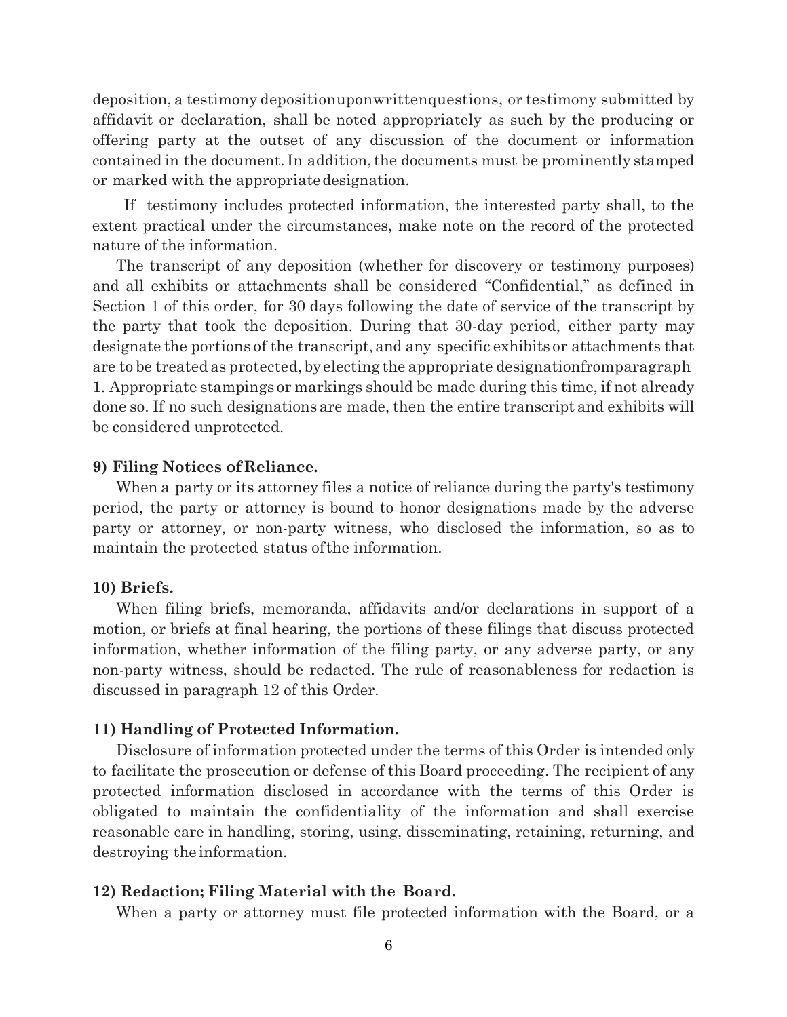deposition, a testimony depositionuponwrittenquestions, or testimony submitted by affidavit or declaration, shall be noted appropriately as such by the producing or offering party at the outset of any discussion of the document or information contained in the document. In addition, the documents must be prominently stamped or marked with the appropriate designation.

If testimony includes protected information, the interested party shall, to the extent practical under the circumstances, make note on the record of the protected nature of the information.

The transcript of any deposition (whether for discovery or testimony purposes) and all exhibits or attachments shall be considered "Confidential," as defined in Section 1 of this order, for 30 days following the date of service of the transcript by the party that took the deposition. During that 30-day period, either party may designate the portions of the transcript, and any specific exhibits or attachments that are to be treated as protected, by electing the appropriate designationfromparagraph 1. Appropriate stampings or markings should be made during this time, if not already done so. If no such designations are made, then the entire transcript and exhibits will be considered unprotected.

### **9) Filing Notices of Reliance.**

When a party or its attorney files a notice of reliance during the party's testimony period, the party or attorney is bound to honor designations made by the adverse party or attorney, or non-party witness, who disclosed the information, so as to maintain the protected status of the information.

#### **10) Briefs.**

When filing briefs, memoranda, affidavits and/or declarations in support of a motion, or briefs at final hearing, the portions of these filings that discuss protected information, whether information of the filing party, or any adverse party, or any non-party witness, should be redacted. The rule of reasonableness for redaction is discussed in paragraph 12 of this Order.

#### **11) Handling of Protected Information.**

Disclosure of information protected under the terms of this Order is intended only to facilitate the prosecution or defense of this Board proceeding. The recipient of any protected information disclosed in accordance with the terms of this Order is obligated to maintain the confidentiality of the information and shall exercise reasonable care in handling, storing, using, disseminating, retaining, returning, and destroying the information.

#### **12) Redaction; Filing Material with the Board.**

When a party or attorney must file protected information with the Board, or a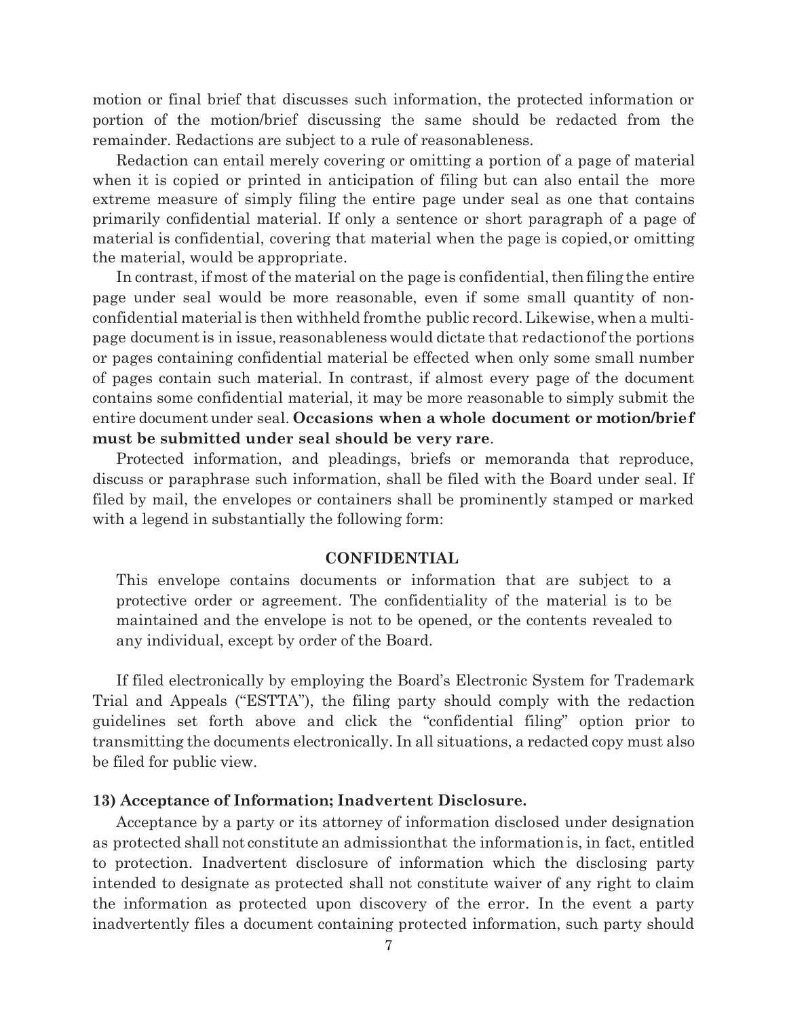motion or final brief that discusses such information, the protected information or portion of the motion/brief discussing the same should be redacted from the remainder. Redactions are subject to a rule of reasonableness.

Redaction can entail merely covering or omitting a portion of a page of material when it is copied or printed in anticipation of filing but can also entail the more extreme measure of simply filing the entire page under seal as one that contains primarily confidential material. If only a sentence or short paragraph of a page of material is confidential, covering that material when the page is copied, or omitting the material, would be appropriate.

In contrast, if most of the material on the page is confidential, then filing the entire page under seal would be more reasonable, even if some small quantity of nonconfidential material is then withheld fromthe public record. Likewise, when a multipage document is in issue, reasonableness would dictate that redactionof the portions or pages containing confidential material be effected when only some small number of pages contain such material. In contrast, if almost every page of the document contains some confidential material, it may be more reasonable to simply submit the entire document under seal. **Occasions when a whole document or motion/brief must be submitted under seal should be very rare**.

Protected information, and pleadings, briefs or memoranda that reproduce, discuss or paraphrase such information, shall be filed with the Board under seal. If filed by mail, the envelopes or containers shall be prominently stamped or marked with a legend in substantially the following form:

#### **CONFIDENTIAL**

This envelope contains documents or information that are subject to a protective order or agreement. The confidentiality of the material is to be maintained and the envelope is not to be opened, or the contents revealed to any individual, except by order of the Board.

If filed electronically by employing the Board's Electronic System for Trademark Trial and Appeals ("ESTTA"), the filing party should comply with the redaction guidelines set forth above and click the "confidential filing" option prior to transmitting the documents electronically. In all situations, a redacted copy must also be filed for public view.

#### **13) Acceptance of Information; Inadvertent Disclosure.**

Acceptance by a party or its attorney of information disclosed under designation as protected shall not constitute an admissionthat the information is, in fact, entitled to protection. Inadvertent disclosure of information which the disclosing party intended to designate as protected shall not constitute waiver of any right to claim the information as protected upon discovery of the error. In the event a party inadvertently files a document containing protected information, such party should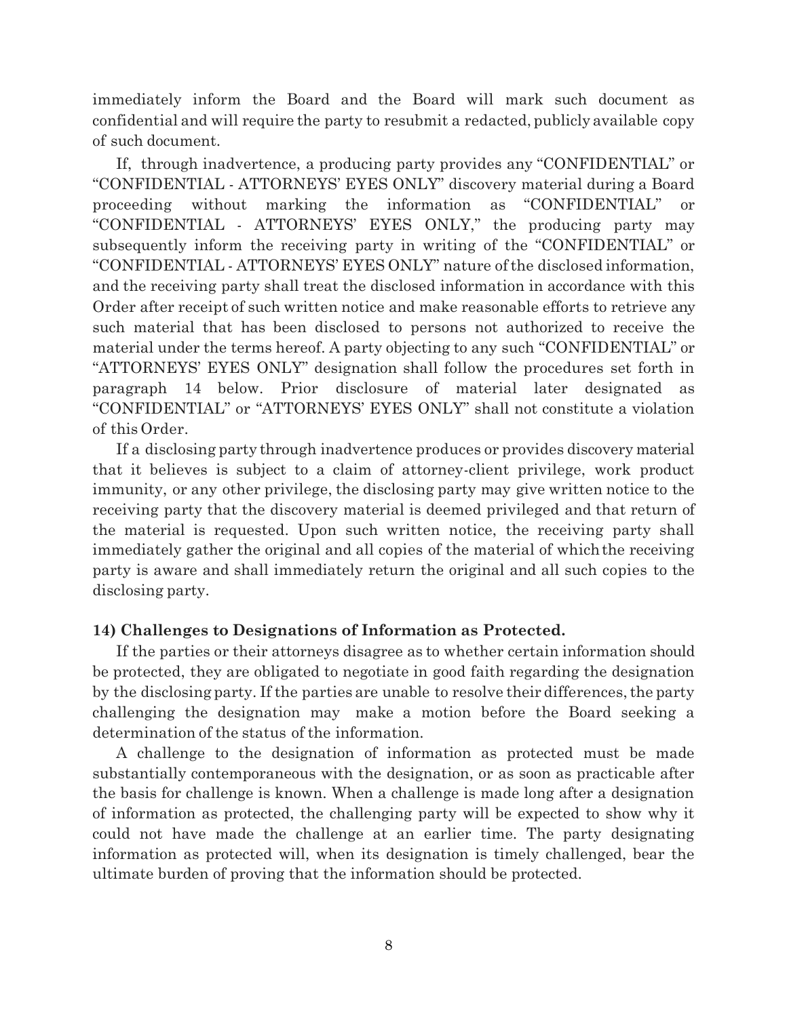immediately inform the Board and the Board will mark such document as confidential and will require the party to resubmit a redacted, publicly available copy of such document.

If, through inadvertence, a producing party provides any "CONFIDENTIAL" or "CONFIDENTIAL - ATTORNEYS' EYES ONLY" discovery material during a Board proceeding without marking the information as "CONFIDENTIAL" or "CONFIDENTIAL - ATTORNEYS' EYES ONLY," the producing party may subsequently inform the receiving party in writing of the "CONFIDENTIAL" or "CONFIDENTIAL - ATTORNEYS' EYES ONLY" nature of the disclosed information, and the receiving party shall treat the disclosed information in accordance with this Order after receipt of such written notice and make reasonable efforts to retrieve any such material that has been disclosed to persons not authorized to receive the material under the terms hereof. A party objecting to any such "CONFIDENTIAL" or "ATTORNEYS' EYES ONLY" designation shall follow the procedures set forth in paragraph 14 below. Prior disclosure of material later designated as "CONFIDENTIAL" or "ATTORNEYS' EYES ONLY" shall not constitute a violation of this Order.

If a disclosing party through inadvertence produces or provides discovery material that it believes is subject to a claim of attorney-client privilege, work product immunity, or any other privilege, the disclosing party may give written notice to the receiving party that the discovery material is deemed privileged and that return of the material is requested. Upon such written notice, the receiving party shall immediately gather the original and all copies of the material of which the receiving party is aware and shall immediately return the original and all such copies to the disclosing party.

## **14) Challenges to Designations of Information as Protected.**

If the parties or their attorneys disagree as to whether certain information should be protected, they are obligated to negotiate in good faith regarding the designation by the disclosing party. If the parties are unable to resolve their differences, the party challenging the designation may make a motion before the Board seeking a determination of the status of the information.

A challenge to the designation of information as protected must be made substantially contemporaneous with the designation, or as soon as practicable after the basis for challenge is known. When a challenge is made long after a designation of information as protected, the challenging party will be expected to show why it could not have made the challenge at an earlier time. The party designating information as protected will, when its designation is timely challenged, bear the ultimate burden of proving that the information should be protected.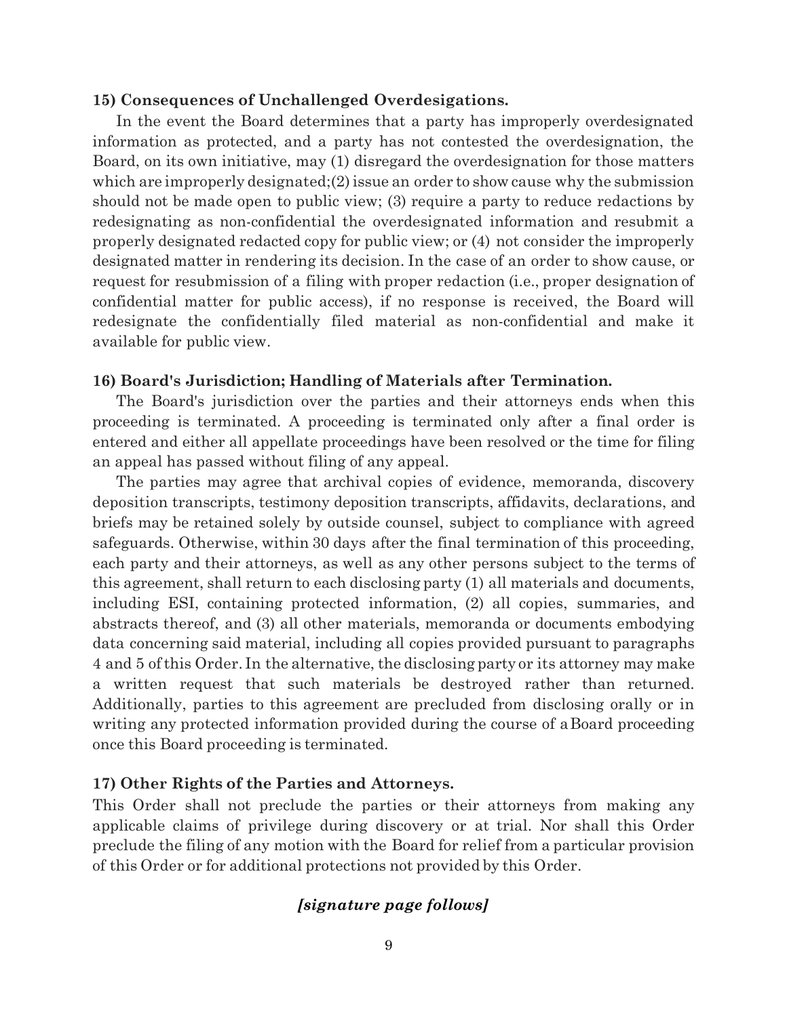#### **15) Consequences of Unchallenged Overdesigations.**

In the event the Board determines that a party has improperly overdesignated information as protected, and a party has not contested the overdesignation, the Board, on its own initiative, may (1) disregard the overdesignation for those matters which are improperly designated;(2) issue an order to show cause why the submission should not be made open to public view; (3) require a party to reduce redactions by redesignating as non-confidential the overdesignated information and resubmit a properly designated redacted copy for public view; or (4) not consider the improperly designated matter in rendering its decision. In the case of an order to show cause, or request for resubmission of a filing with proper redaction (i.e., proper designation of confidential matter for public access), if no response is received, the Board will redesignate the confidentially filed material as non-confidential and make it available for public view.

#### **16) Board's Jurisdiction; Handling of Materials after Termination.**

The Board's jurisdiction over the parties and their attorneys ends when this proceeding is terminated. A proceeding is terminated only after a final order is entered and either all appellate proceedings have been resolved or the time for filing an appeal has passed without filing of any appeal.

The parties may agree that archival copies of evidence, memoranda, discovery deposition transcripts, testimony deposition transcripts, affidavits, declarations, and briefs may be retained solely by outside counsel, subject to compliance with agreed safeguards. Otherwise, within 30 days after the final termination of this proceeding, each party and their attorneys, as well as any other persons subject to the terms of this agreement, shall return to each disclosing party (1) all materials and documents, including ESI, containing protected information, (2) all copies, summaries, and abstracts thereof, and (3) all other materials, memoranda or documents embodying data concerning said material, including all copies provided pursuant to paragraphs 4 and 5 of this Order. In the alternative, the disclosing party or its attorney may make a written request that such materials be destroyed rather than returned. Additionally, parties to this agreement are precluded from disclosing orally or in writing any protected information provided during the course of a Board proceeding once this Board proceeding is terminated.

### **17) Other Rights of the Parties and Attorneys.**

This Order shall not preclude the parties or their attorneys from making any applicable claims of privilege during discovery or at trial. Nor shall this Order preclude the filing of any motion with the Board for relief from a particular provision of this Order or for additional protections not provided by this Order.

## *[signature page follows]*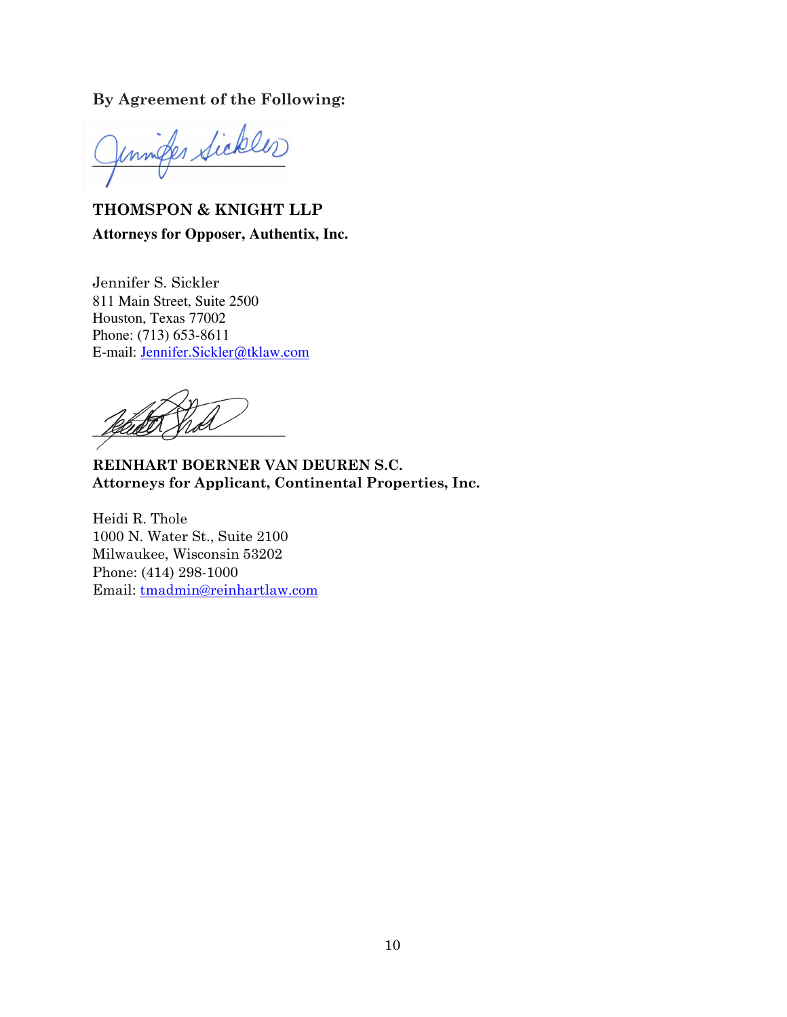## **By Agreement of the Following:**

unifer Sickles

**THOMSPON & KNIGHT LLP Attorneys for Opposer, Authentix, Inc.**

Jennifer S. Sickler 811 Main Street, Suite 2500 Houston, Texas 77002 Phone: (713) 653-8611 E-mail: [Jennifer.Sickler@tklaw.com](mailto:Jennifer.Sickler@tklaw.com)

Leure yro

**REINHART BOERNER VAN DEUREN S.C. Attorneys for Applicant, Continental Properties, Inc.** 

Heidi R. Thole 1000 N. Water St., Suite 2100 Milwaukee, Wisconsin 53202 Phone: (414) 298-1000 Email: [tmadmin@reinhartlaw.com](mailto:tmadmin@reinhartlaw.com)